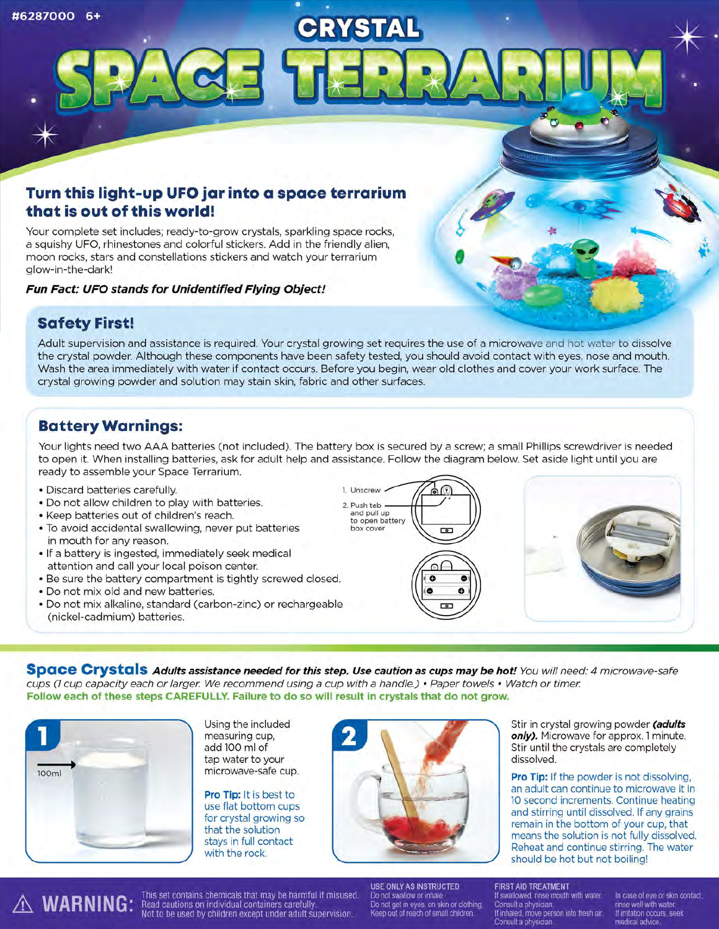# **Turn this light-up UFO jar into a space terrarium that is out of this world!**

Your complete set includes; ready-to-grow crystals, sparkling space rocks, a squishy UFO, rhinestones and colorful stickers. Add in the friendly alien, moon rocks, stars and constellations stickers and watch your terrarium glow-in-the-dark'

**Fun Fact: UFO stands for Unidentified Flying Object!** 

### **Safety First!**

Adult supervision and assistance is required. Your crystal growing set requires the use of a microwave and hot water to dissolve the crystal powder. Although these components have been safety tested, you should avoid contact with eyes, nose and mouth. Wash the area immediately with water if contact occurs. Before you begin, wear old clothes and cover your work surface. The crystal growing powder and solution may stain skin, fabric and other surfaces.

CRYSTAL

## **Battery Warnings:**

Your lights need two AAA batteries (not included). The battery box is secured by a screw; a small Phillips screwdriver is needed to open it. When installing batteries, ask for adult help and assistance. Follow the diagram below. Set aside light until you are ready to assemble your Space Terrarium.

**1. Unscrew** 

- Discard batteries carefully.
- Do not allow children to play with batteries.
- Keep batteries out of children's reach.
- To avoid accidental swallowing, never put batteries in mouth for any reason.
- If a battery is ingested, immediately seek medical attention and call your local poison center.
- Be sure the battery compartment is tightly screwed closed.
- Do not mix old and new batteries.
- Do not mix alkaline, standard (carbon-zinc) or rechargeable (nickel-cadmium) batteries.

2. Push tab and pull up **to open battery box cover**   $\overline{c}$ 

 $\ddot{\bullet}$ 



/

**Space Crystals Adults assistance needed for this step. Use caution as cups may be hot!** You will need: 4 microwave-safe cups *(7* cup capacity each or larger. We recommend using a cup with a handle.) • Paper towels • Watch or timer. **Follow each of these steps CAREFULLY. Failure to do so will result in crystals that do not grow.** 



Using the included measuring cup, add 100 ml of tap water to your microwave-safe cup.

**Pro Tip:** It is best to use flat bottom cups for crystal growing so that the solution stays in full contact with the rock.



Stir in crystal growing powder **(adults**  only). Microwave for approx. 1 minute. Stir until the crystals are completely dissolved.

**Pro Tip:** If the powder is not dissolving, an adult can continue to microwave it in 10 second increments. Continue heating and stirring until dissolved. If any grains remain in the bottom of your cup, that means the solution is not fully dissolved. Reheat and continue stirring. The water should be hot but not boiling'

USE ONLY AS INSTRUCTED FIRST AID TREATMENT<br>MARNING: Read cautions on individual containers carefully. Do not swallow or inhale. In case of eye or skin contact,<br>Not to be used by children except under adult supervision. Ree

USE ONLY AS INSTRUCTED FIRST AID TREATMENT<br>Do not swallow or inhale. Figure 11 swallowed, rinse mouth with water.

If inhaled, move person into fresh air. If imitation occurs<br>Consult a physician. medical advice